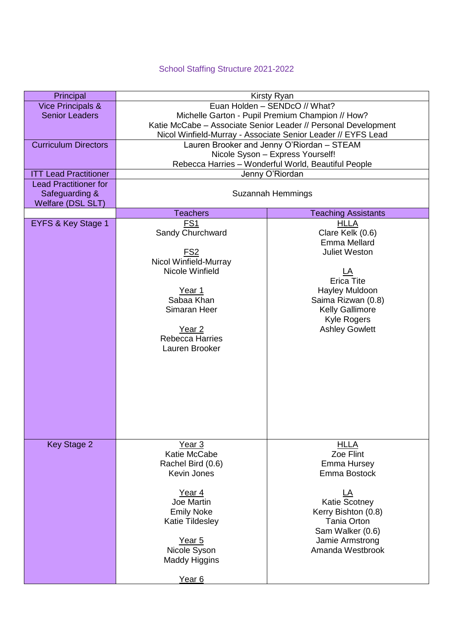## School Staffing Structure 2021-2022

| Principal                    | Kirsty Ryan                                                    |                                                              |  |
|------------------------------|----------------------------------------------------------------|--------------------------------------------------------------|--|
| <b>Vice Principals &amp;</b> |                                                                | Euan Holden - SENDcO // What?                                |  |
| <b>Senior Leaders</b>        |                                                                | Michelle Garton - Pupil Premium Champion // How?             |  |
|                              | Katie McCabe - Associate Senior Leader // Personal Development |                                                              |  |
|                              |                                                                | Nicol Winfield-Murray - Associate Senior Leader // EYFS Lead |  |
| <b>Curriculum Directors</b>  |                                                                | Lauren Brooker and Jenny O'Riordan - STEAM                   |  |
|                              | Nicole Syson - Express Yourself!                               |                                                              |  |
|                              | Rebecca Harries - Wonderful World, Beautiful People            |                                                              |  |
| <b>ITT Lead Practitioner</b> | Jenny O'Riordan                                                |                                                              |  |
| <b>Lead Practitioner for</b> |                                                                |                                                              |  |
| Safeguarding &               | Suzannah Hemmings                                              |                                                              |  |
| Welfare (DSL SLT)            | <b>Teachers</b>                                                |                                                              |  |
| EYFS & Key Stage 1           | FS <sub>1</sub>                                                | <b>Teaching Assistants</b><br><b>HLLA</b>                    |  |
|                              | Sandy Churchward                                               | Clare Kelk (0.6)                                             |  |
|                              |                                                                | Emma Mellard                                                 |  |
|                              | <u>FS2</u>                                                     | <b>Juliet Weston</b>                                         |  |
|                              | Nicol Winfield-Murray                                          |                                                              |  |
|                              | Nicole Winfield                                                | LA                                                           |  |
|                              |                                                                | <b>Erica Tite</b>                                            |  |
|                              | Year 1                                                         | Hayley Muldoon                                               |  |
|                              | Sabaa Khan                                                     | Saima Rizwan (0.8)                                           |  |
|                              | Simaran Heer                                                   | <b>Kelly Gallimore</b>                                       |  |
|                              |                                                                | <b>Kyle Rogers</b>                                           |  |
|                              | Year <sub>2</sub>                                              | <b>Ashley Gowlett</b>                                        |  |
|                              | <b>Rebecca Harries</b>                                         |                                                              |  |
|                              | Lauren Brooker                                                 |                                                              |  |
|                              |                                                                |                                                              |  |
|                              |                                                                |                                                              |  |
|                              |                                                                |                                                              |  |
|                              |                                                                |                                                              |  |
|                              |                                                                |                                                              |  |
|                              |                                                                |                                                              |  |
|                              |                                                                |                                                              |  |
|                              |                                                                |                                                              |  |
| Key Stage 2                  | Year <sub>3</sub>                                              | <b>HLLA</b>                                                  |  |
|                              | Katie McCabe                                                   | Zoe Flint                                                    |  |
|                              | Rachel Bird (0.6)                                              | Emma Hursey                                                  |  |
|                              | Kevin Jones                                                    | Emma Bostock                                                 |  |
|                              |                                                                |                                                              |  |
|                              | Year 4                                                         |                                                              |  |
|                              | Joe Martin                                                     | <b>Katie Scotney</b>                                         |  |
|                              | <b>Emily Noke</b>                                              | Kerry Bishton (0.8)                                          |  |
|                              | Katie Tildesley                                                | <b>Tania Orton</b>                                           |  |
|                              |                                                                | Sam Walker (0.6)                                             |  |
|                              | Year 5                                                         | Jamie Armstrong                                              |  |
|                              | Nicole Syson                                                   | Amanda Westbrook                                             |  |
|                              | <b>Maddy Higgins</b>                                           |                                                              |  |
|                              |                                                                |                                                              |  |
|                              | Year <sub>6</sub>                                              |                                                              |  |